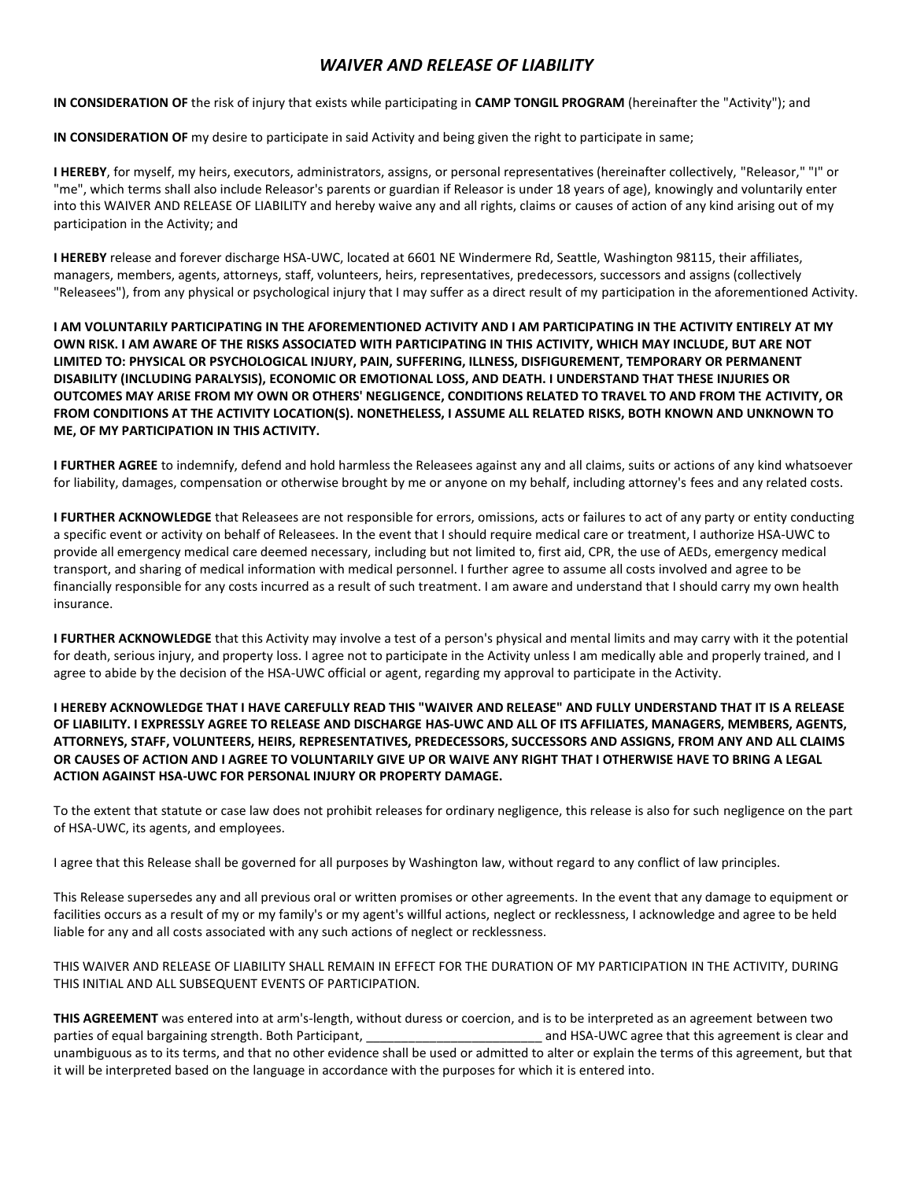## *WAIVER AND RELEASE OF LIABILITY*

**IN CONSIDERATION OF** the risk of injury that exists while participating in **CAMP TONGIL PROGRAM** (hereinafter the "Activity"); and

**IN CONSIDERATION OF** my desire to participate in said Activity and being given the right to participate in same;

**I HEREBY**, for myself, my heirs, executors, administrators, assigns, or personal representatives (hereinafter collectively, "Releasor," "I" or "me", which terms shall also include Releasor's parents or guardian if Releasor is under 18 years of age), knowingly and voluntarily enter into this WAIVER AND RELEASE OF LIABILITY and hereby waive any and all rights, claims or causes of action of any kind arising out of my participation in the Activity; and

**I HEREBY** release and forever discharge HSA-UWC, located at 6601 NE Windermere Rd, Seattle, Washington 98115, their affiliates, managers, members, agents, attorneys, staff, volunteers, heirs, representatives, predecessors, successors and assigns (collectively "Releasees"), from any physical or psychological injury that I may suffer as a direct result of my participation in the aforementioned Activity.

**I AM VOLUNTARILY PARTICIPATING IN THE AFOREMENTIONED ACTIVITY AND I AM PARTICIPATING IN THE ACTIVITY ENTIRELY AT MY OWN RISK. I AM AWARE OF THE RISKS ASSOCIATED WITH PARTICIPATING IN THIS ACTIVITY, WHICH MAY INCLUDE, BUT ARE NOT LIMITED TO: PHYSICAL OR PSYCHOLOGICAL INJURY, PAIN, SUFFERING, ILLNESS, DISFIGUREMENT, TEMPORARY OR PERMANENT DISABILITY (INCLUDING PARALYSIS), ECONOMIC OR EMOTIONAL LOSS, AND DEATH. I UNDERSTAND THAT THESE INJURIES OR OUTCOMES MAY ARISE FROM MY OWN OR OTHERS' NEGLIGENCE, CONDITIONS RELATED TO TRAVEL TO AND FROM THE ACTIVITY, OR FROM CONDITIONS AT THE ACTIVITY LOCATION(S). NONETHELESS, I ASSUME ALL RELATED RISKS, BOTH KNOWN AND UNKNOWN TO ME, OF MY PARTICIPATION IN THIS ACTIVITY.**

**I FURTHER AGREE** to indemnify, defend and hold harmless the Releasees against any and all claims, suits or actions of any kind whatsoever for liability, damages, compensation or otherwise brought by me or anyone on my behalf, including attorney's fees and any related costs.

**I FURTHER ACKNOWLEDGE** that Releasees are not responsible for errors, omissions, acts or failures to act of any party or entity conducting a specific event or activity on behalf of Releasees. In the event that I should require medical care or treatment, I authorize HSA-UWC to provide all emergency medical care deemed necessary, including but not limited to, first aid, CPR, the use of AEDs, emergency medical transport, and sharing of medical information with medical personnel. I further agree to assume all costs involved and agree to be financially responsible for any costs incurred as a result of such treatment. I am aware and understand that I should carry my own health insurance.

**I FURTHER ACKNOWLEDGE** that this Activity may involve a test of a person's physical and mental limits and may carry with it the potential for death, serious injury, and property loss. I agree not to participate in the Activity unless I am medically able and properly trained, and I agree to abide by the decision of the HSA-UWC official or agent, regarding my approval to participate in the Activity.

## **I HEREBY ACKNOWLEDGE THAT I HAVE CAREFULLY READ THIS "WAIVER AND RELEASE" AND FULLY UNDERSTAND THAT IT IS A RELEASE OF LIABILITY. I EXPRESSLY AGREE TO RELEASE AND DISCHARGE HAS-UWC AND ALL OF ITS AFFILIATES, MANAGERS, MEMBERS, AGENTS, ATTORNEYS, STAFF, VOLUNTEERS, HEIRS, REPRESENTATIVES, PREDECESSORS, SUCCESSORS AND ASSIGNS, FROM ANY AND ALL CLAIMS OR CAUSES OF ACTION AND I AGREE TO VOLUNTARILY GIVE UP OR WAIVE ANY RIGHT THAT I OTHERWISE HAVE TO BRING A LEGAL ACTION AGAINST HSA-UWC FOR PERSONAL INJURY OR PROPERTY DAMAGE.**

To the extent that statute or case law does not prohibit releases for ordinary negligence, this release is also for such negligence on the part of HSA-UWC, its agents, and employees.

I agree that this Release shall be governed for all purposes by Washington law, without regard to any conflict of law principles.

This Release supersedes any and all previous oral or written promises or other agreements. In the event that any damage to equipment or facilities occurs as a result of my or my family's or my agent's willful actions, neglect or recklessness, I acknowledge and agree to be held liable for any and all costs associated with any such actions of neglect or recklessness.

THIS WAIVER AND RELEASE OF LIABILITY SHALL REMAIN IN EFFECT FOR THE DURATION OF MY PARTICIPATION IN THE ACTIVITY, DURING THIS INITIAL AND ALL SUBSEQUENT EVENTS OF PARTICIPATION.

**THIS AGREEMENT** was entered into at arm's-length, without duress or coercion, and is to be interpreted as an agreement between two parties of equal bargaining strength. Both Participant, \_\_\_\_\_\_\_\_\_\_\_\_\_\_\_\_\_\_\_\_\_\_\_\_\_ and HSA-UWC agree that this agreement is clear and unambiguous as to its terms, and that no other evidence shall be used or admitted to alter or explain the terms of this agreement, but that it will be interpreted based on the language in accordance with the purposes for which it is entered into.